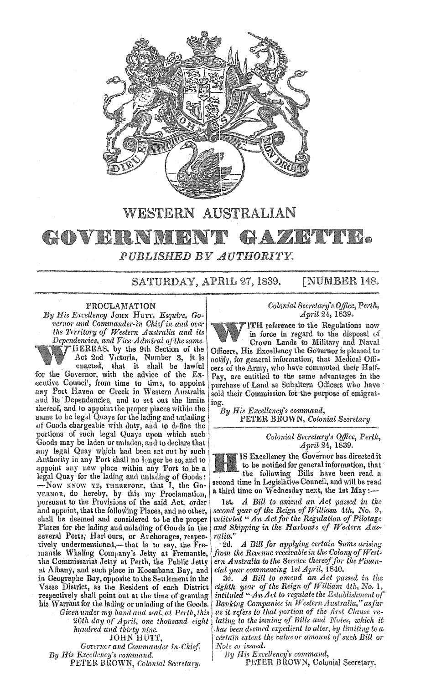

# WESTERN AUSTRALIAN

#### GOVERNM AZA **ALL LANDS** H *PUBLISHED*

SATURDAY, APRIL 27, 1839.

## **INUMBER 148.**

### PROCLAMATION

*His Excellency* JOHN HUTT, *Esquire, Governor and Commander-in Chief in and over the Territory of Western Australia and its Dependencies, and Vice-Admiral a/the same.*  HEREAS. by the 91h Section of the Act 2nd Victoria, Number 3, it is enacted, that it shall be lawful for the Governor, with the advice of the Executive Counci', from time to time, to appoint any Port Haven or Creek in Western Australia and its Dependencies, and to set out the limits thereof, and to appoint the proper places within the same to be legal Quays for the lading and unlading of Goods chargeable with duty, and to define the portions of such legal Quays upon which such **Colonial Secretary's Office**, Perth, Goods may be laden or unladen, and to declare that *April 24*, 1839. any legal Quay which had been set out by such | IS Excellency the Governor has directed it<br>Authority in any Port shall no longer be so, and to appoint any new place within any Port to be a to be notified for general information, that legal Quay for the lading and unlading of Goods: the following Bills have been read a Legal Quay for the lading and unlading of Goods: <br>-Now KNOW YE, THEREFORE, that I, the Go- second time in Legislative Council, and will be read VERNOR, do hereby, by this my Proclamation, a third time on Wednesday next, the 1st May:pursuant to the Provisions of the said Act, order 1st. *A Bill to amend an Act passed in the* and appoint, that the following Places, and no other, *second year of the Reign of William 4th*, No. 9, shall be deemed and considered to be the proper *Places* for the lading and unlading of Goods in the several Ports, Harlours, or Anchorages, respec- *ralia."*<br>tively undermentioned,—that is to say, the Fre- 2d. A Bill for applying certain Sums arising tively undermentioned,—that is to say, the Fre- 2d. *A Bill for applying certain Sums arising* mantle Whaling Company's Jetty at Fremantle, *from the Revenue receivable in the Colony of West*mantle Whaling Com<sub>p</sub>any's Jetty at Fremantle, from the Revenue receivable in the Colony of West-<br>the Commissariat Jetty at Perth, the Public Jetty ern Australia to the Service thereof for the Finanthe Commissariat Jetty at Perth, the Public Jetty *ern Australia to the Service thereof for* at Albany, and such place in Koombana Bay, and *cial year commencing* 1st *April*, 1840. at Albany, and such place in Koombana Bay, and *cial year commencing* 1st *April*, 1840.<br>in Geographe Bay, opposite to the Settlement in the 30. A Bill to amend an Act passed in the in Geographe Bay, opposite to the Settlement in the 3d. *A Bill to amend an Act passed in the* Vasse District, as the Resident of each District *eighth year of the Reign of William 4th*, No. 1, respectively shall point out at the time of granting *intituled "An Act to regulate the Establishment of*<br>his Warrant for the lading or unlading of the Goods. Banking Companies in Western Australia," as far his Warrant for the lading or unlading of the Goods. *Banking Companies in Western Australia*," as far<br>Given under my hand and seal, at Perth, this as it refers to that portion of the first Clause re-26th day of April, one thousand eight<br>1. hundred and thirty nine<br>1.10HN HUIT,

*Governor and Commander in Chief.* | Note so issued.<br> **Excellency's command.** By His Excellency's command, *By His Excellency's command.* By His Excellency's command,<br>PETER BROWN, Colonial Secretary. PETER BROWN, Colonial Secretary.

 $PETER$ BROWN, *Colonial Secretary*.

### *Colonial Secretary's Office, April* 24, 1839,

lTH reference to the Regulations now in force in regard to the disposal of

Crown Lands to Military and Naval Officers, His Excellency the Governor is pleased to notify, for general information, that Medical Officers of the Army, who have commuted their Half-Pay, are entitled to the same advantages in the purchase of Land as Subaltern Officers who have sold their Commission for the purpose of emigratiog.

*By His Excellency's command,*  PETER BROWN, *Colonial Secretary* 

accond year of the Reign of William<sup>4</sup> 4th, No. 9, *nuituled* "An Act for the Regulation of Pilotage and Shipping in the Harbours of Western Aus-<br>ralia."

Vasse District, as the Resident of each District *eighth year of the Reign of William 4th*, *No. 1*, respectively shall point out at the time of granting *intituled* "*An Act to regulate the Establishment of Given under my hand and seal, at Perth, this as it refers to that portion of the first Clause re-*<br>26th day of April, one thousand eight alting to the issuing of Bills and Notes, which it has been deemed expedient to alter, by limiting to a certain extent the value or amount of such Bill or